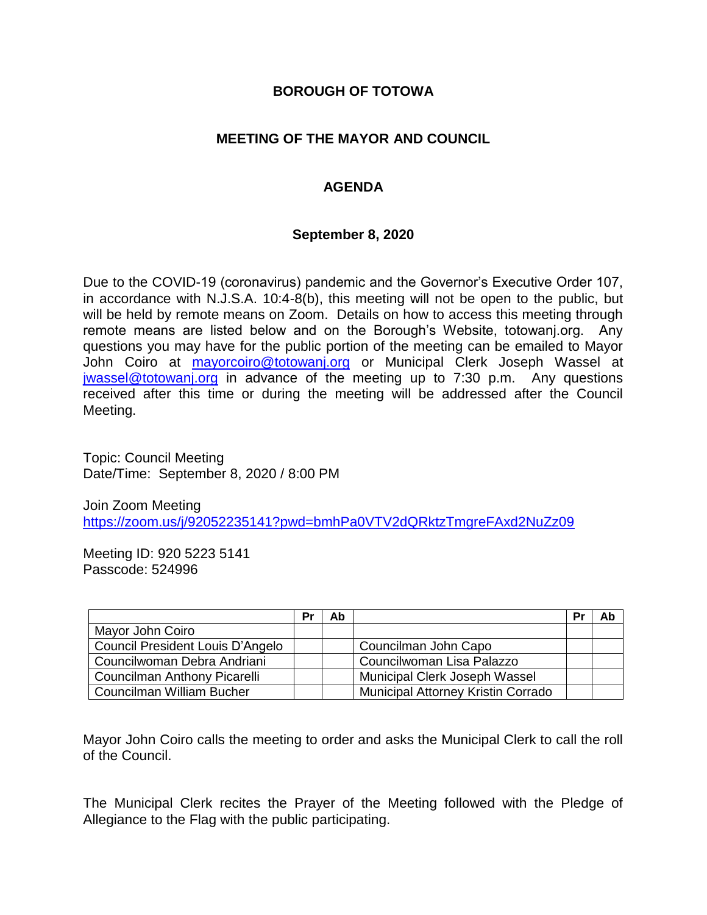### **BOROUGH OF TOTOWA**

### **MEETING OF THE MAYOR AND COUNCIL**

## **AGENDA**

#### **September 8, 2020**

Due to the COVID-19 (coronavirus) pandemic and the Governor's Executive Order 107, in accordance with N.J.S.A. 10:4-8(b), this meeting will not be open to the public, but will be held by remote means on Zoom. Details on how to access this meeting through remote means are listed below and on the Borough's Website, totowanj.org. Any questions you may have for the public portion of the meeting can be emailed to Mayor John Coiro at [mayorcoiro@totowanj.org](mailto:mayorcoiro@totowanj.org) or Municipal Clerk Joseph Wassel at [jwassel@totowanj.org](mailto:jwassel@totowanj.org) in advance of the meeting up to 7:30 p.m. Any questions received after this time or during the meeting will be addressed after the Council Meeting.

Topic: Council Meeting Date/Time: September 8, 2020 / 8:00 PM

Join Zoom Meeting <https://zoom.us/j/92052235141?pwd=bmhPa0VTV2dQRktzTmgreFAxd2NuZz09>

Meeting ID: 920 5223 5141 Passcode: 524996

|                                  | Pr | Ab |                                           | Pr | Ab |
|----------------------------------|----|----|-------------------------------------------|----|----|
| Mayor John Coiro                 |    |    |                                           |    |    |
| Council President Louis D'Angelo |    |    | Councilman John Capo                      |    |    |
| Councilwoman Debra Andriani      |    |    | Councilwoman Lisa Palazzo                 |    |    |
| Councilman Anthony Picarelli     |    |    | Municipal Clerk Joseph Wassel             |    |    |
| Councilman William Bucher        |    |    | <b>Municipal Attorney Kristin Corrado</b> |    |    |

Mayor John Coiro calls the meeting to order and asks the Municipal Clerk to call the roll of the Council.

The Municipal Clerk recites the Prayer of the Meeting followed with the Pledge of Allegiance to the Flag with the public participating.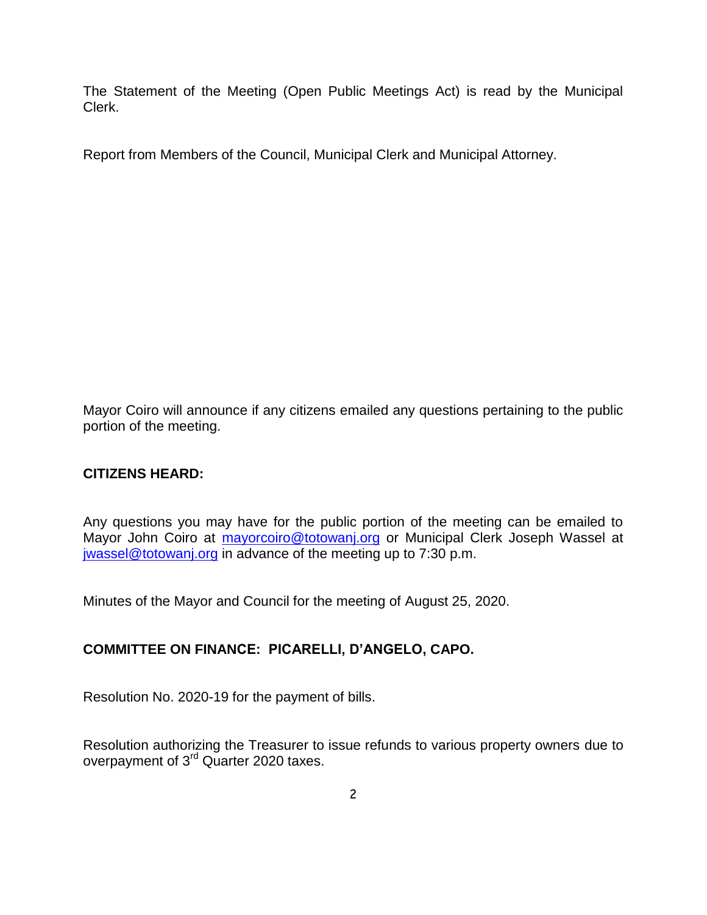The Statement of the Meeting (Open Public Meetings Act) is read by the Municipal Clerk.

Report from Members of the Council, Municipal Clerk and Municipal Attorney.

Mayor Coiro will announce if any citizens emailed any questions pertaining to the public portion of the meeting.

# **CITIZENS HEARD:**

Any questions you may have for the public portion of the meeting can be emailed to Mayor John Coiro at [mayorcoiro@totowanj.org](mailto:mayorcoiro@totowanj.org) or Municipal Clerk Joseph Wassel at [jwassel@totowanj.org](mailto:jwassel@totowanj.org) in advance of the meeting up to 7:30 p.m.

Minutes of the Mayor and Council for the meeting of August 25, 2020.

# **COMMITTEE ON FINANCE: PICARELLI, D'ANGELO, CAPO.**

Resolution No. 2020-19 for the payment of bills.

Resolution authorizing the Treasurer to issue refunds to various property owners due to overpayment of 3rd Quarter 2020 taxes.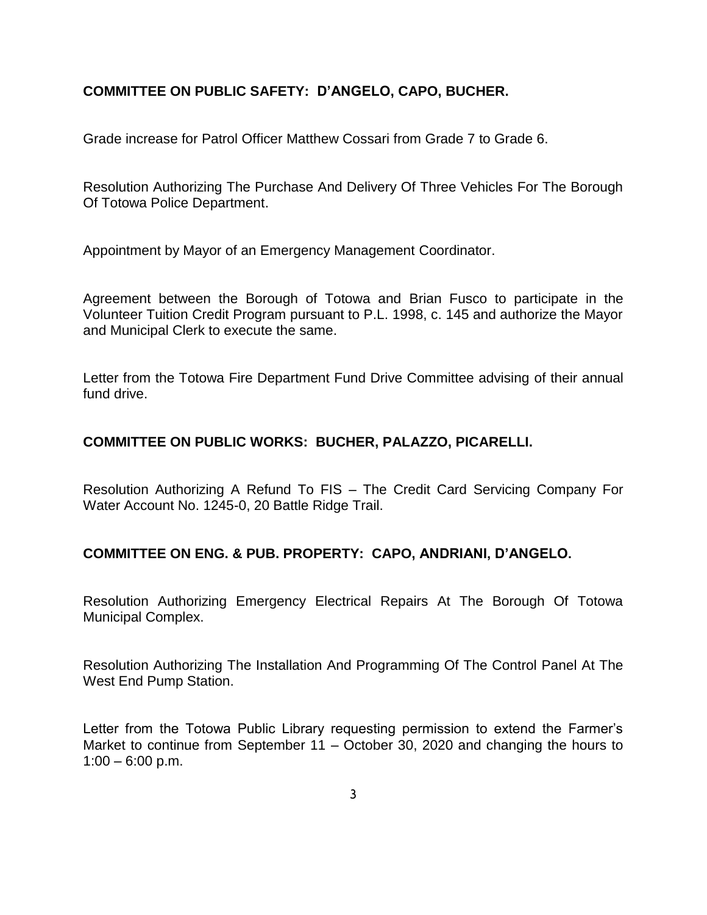## **COMMITTEE ON PUBLIC SAFETY: D'ANGELO, CAPO, BUCHER.**

Grade increase for Patrol Officer Matthew Cossari from Grade 7 to Grade 6.

Resolution Authorizing The Purchase And Delivery Of Three Vehicles For The Borough Of Totowa Police Department.

Appointment by Mayor of an Emergency Management Coordinator.

Agreement between the Borough of Totowa and Brian Fusco to participate in the Volunteer Tuition Credit Program pursuant to P.L. 1998, c. 145 and authorize the Mayor and Municipal Clerk to execute the same.

Letter from the Totowa Fire Department Fund Drive Committee advising of their annual fund drive.

### **COMMITTEE ON PUBLIC WORKS: BUCHER, PALAZZO, PICARELLI.**

Resolution Authorizing A Refund To FIS – The Credit Card Servicing Company For Water Account No. 1245-0, 20 Battle Ridge Trail.

### **COMMITTEE ON ENG. & PUB. PROPERTY: CAPO, ANDRIANI, D'ANGELO.**

Resolution Authorizing Emergency Electrical Repairs At The Borough Of Totowa Municipal Complex.

Resolution Authorizing The Installation And Programming Of The Control Panel At The West End Pump Station.

Letter from the Totowa Public Library requesting permission to extend the Farmer's Market to continue from September 11 – October 30, 2020 and changing the hours to  $1:00 - 6:00 \text{ p.m.}$